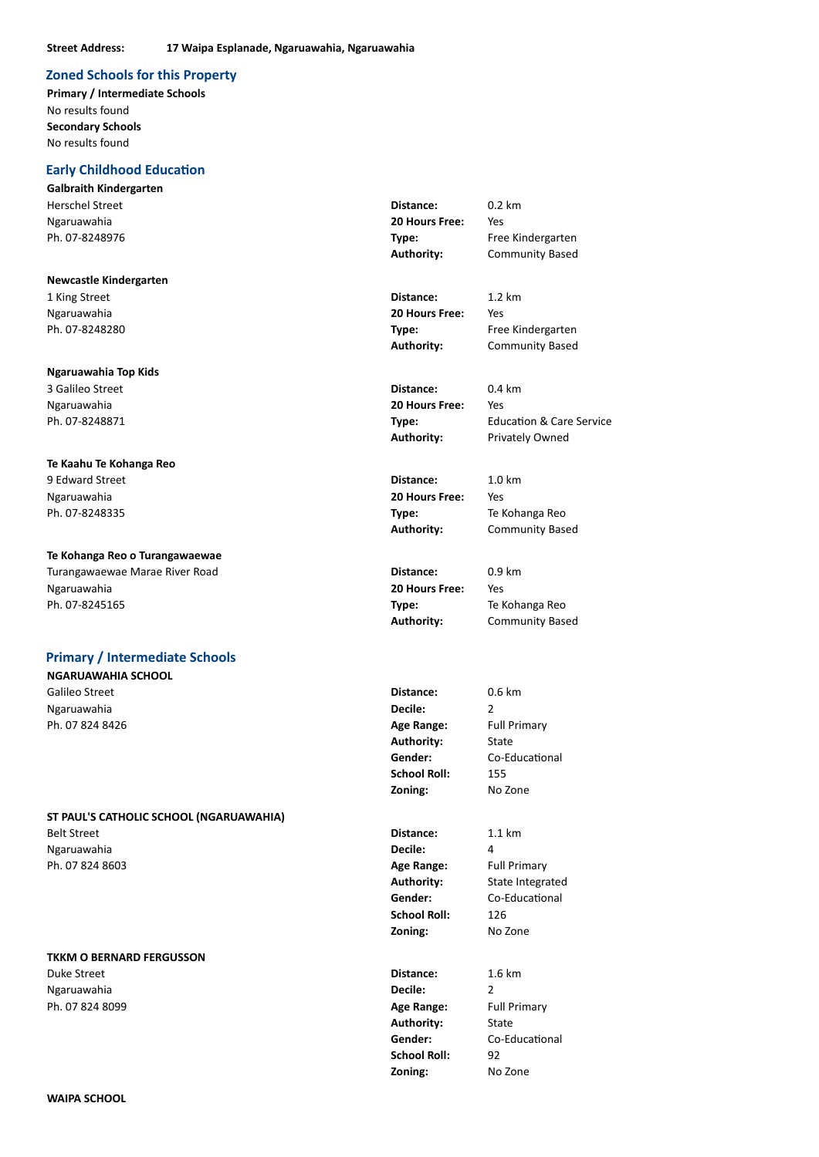#### **Zoned Schools for this Property**

**Primary / Intermediate Schools** No results found **Secondary Schools** No results found

### **Early Childhood Education**

**Galbraith Kindergarten** Herschel Street **Distance:** 0.2 km Ngaruawahia **20 Hours Free:** Yes Ph. 07-8248976 **Type:** Free Kindergarten

#### **Newcastle Kindergarten**

1 King Street **Distance:** 1.2 km Ngaruawahia **20 Hours Free:** Yes Ph. 07-8248280 **Type:** Free Kindergarten

#### **Ngaruawahia Top Kids**

3 Galileo Street **Distance:** 0.4 km Ngaruawahia **20 Hours Free:** Yes

### **Te Kaahu Te Kohanga Reo**

9 Edward Street **Distance:** 1.0 km Ngaruawahia **20 Hours Free:** Yes Ph. 07-8248335 **Type:** Te Kohanga Reo

## **Te Kohanga Reo o Turangawaewae**

Turangawaewae Marae River Road **Distance:** 0.9 km Ngaruawahia **20 Hours Free:** Yes Ph. 07-8245165 **Type:** Te Kohanga Reo

#### **Primary / Intermediate Schools**

**NGARUAWAHIA SCHOOL**

Ngaruawahia **Decile:** 2 Ph. 07 824 8426 **Age Range:** Full Primary

#### **ST PAUL'S CATHOLIC SCHOOL (NGARUAWAHIA)**

Belt Street **Distance:** 1.1 km Ngaruawahia **Decile:** 4 Ph. 07 824 8603 **Age Range:** Full Primary

#### **TKKM O BERNARD FERGUSSON**

Duke Street **Distance:** 1.6 km Ngaruawahia **Decile:** 2 Ph. 07 824 8099 **Age Range:** Full Primary

**Authority:** Community Based

**Authority:** Community Based

Authority: **Privately Owned** 

Ph. 07-8248871 **Type:** Education & Care Service

**Authority:** Community Based

**Authority:** Community Based

Galileo Street **Distance:** 0.6 km **Authority:** State **Gender:** Co-Educational **School Roll:** 155 **Zoning:** No Zone

> **School Roll:** 126 **Zoning:** No Zone

Authority: State **Gender:** Co-Educational School Roll: 92 **Zoning:** No Zone

**Authority:** State Integrated **Gender:** Co-Educational